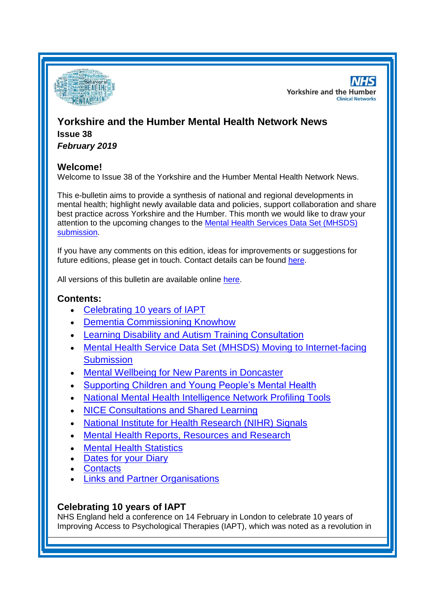

**NHS Yorkshire and the Humber Clinical Networks** 

# **Yorkshire and the Humber Mental Health Network News Issue 38**

*February 2019*

# **Welcome!**

Welcome to Issue 38 of the Yorkshire and the Humber Mental Health Network News.

This e-bulletin aims to provide a synthesis of national and regional developments in mental health; highlight newly available data and policies, support collaboration and share best practice across Yorkshire and the Humber. This month we would like to draw your attention to the upcoming changes to the [Mental Health Services Data Set \(MHSDS\)](#page-1-0)  [submission.](#page-1-0)

If you have any comments on this edition, ideas for improvements or suggestions for future editions, please get in touch. Contact details can be found [here.](#page-5-0)

All versions of this bulletin are available online [here.](http://www.yhscn.nhs.uk/mental-health-clinic/mental-health-network/MH-documents-and-links.php)

# **Contents:**

- [Celebrating 10 years of IAPT](#page-0-0)
- [Dementia Commissioning Knowhow](#page-1-1)
- [Learning Disability and Autism Training Consultation](#page-1-2)
- [Mental Health Service Data Set \(MHSDS\) Moving to Internet-facing](#page-1-0)  **[Submission](#page-1-0)**
- [Mental Wellbeing for New Parents in Doncaster](#page-1-3)
- [Supporting Children and Young People's Mental Health](#page-1-4)
- [National Mental Health Intelligence Network Profiling Tools](#page-0-1)
- [NICE Consultations and Shared Learning](#page-2-0)
- [National Institute for Health Research \(NIHR\) Signals](#page-3-0)
- [Mental Health Reports, Resources and Research](#page-0-1)
- [Mental Health Statistics](#page-3-1)
- **[Dates for your Diary](#page-3-2)**
- **[Contacts](#page-5-0)**
- [Links and Partner Organisations](#page-5-1)

# <span id="page-0-1"></span><span id="page-0-0"></span>**Celebrating 10 years of IAPT**

NHS England held a conference on 14 February in London to celebrate 10 years of Improving Access to Psychological Therapies (IAPT), which was noted as a revolution in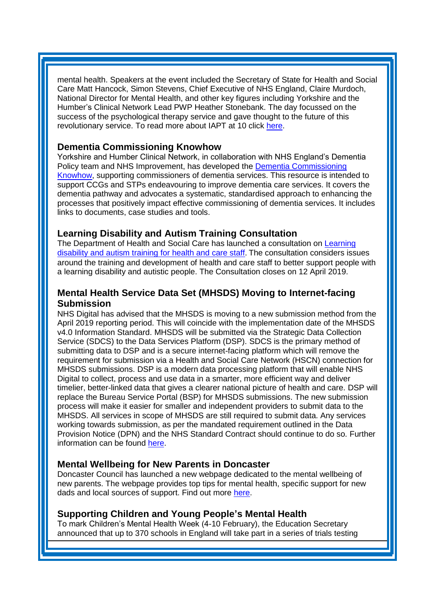mental health. Speakers at the event included the Secretary of State for Health and Social Care Matt Hancock, Simon Stevens, Chief Executive of NHS England, Claire Murdoch, National Director for Mental Health, and other key figures including Yorkshire and the Humber's Clinical Network Lead PWP Heather Stonebank. The day focussed on the success of the psychological therapy service and gave thought to the future of this revolutionary service. To read more about IAPT at 10 click [here.](https://www.england.nhs.uk/blog/iapt-at-10-achievements-and-challenges/)

### <span id="page-1-1"></span>**Dementia Commissioning Knowhow**

Yorkshire and Humber Clinical Network, in collaboration with NHS England's Dementia Policy team and NHS Improvement, has developed the [Dementia Commissioning](http://www.yhscn.nhs.uk/media/PDFs/mhdn/Dementia/KNOW%20HOW%20DOCS/Knowhow_Final.pdf)  [Knowhow,](http://www.yhscn.nhs.uk/media/PDFs/mhdn/Dementia/KNOW%20HOW%20DOCS/Knowhow_Final.pdf) supporting commissioners of dementia services. This resource is intended to support CCGs and STPs endeavouring to improve dementia care services. It covers the dementia pathway and advocates a systematic, standardised approach to enhancing the processes that positively impact effective commissioning of dementia services. It includes links to documents, case studies and tools.

# <span id="page-1-2"></span>**Learning Disability and Autism Training Consultation**

The Department of Health and Social Care has launched a consultation on Learning [disability and autism training for health and care staff](https://www.gov.uk/government/consultations/learning-disability-and-autism-training-for-health-and-care-staff). The consultation considers issues around the training and development of health and care staff to better support people with a learning disability and autistic people. The Consultation closes on 12 April 2019.

# <span id="page-1-0"></span>**Mental Health Service Data Set (MHSDS) Moving to Internet-facing Submission**

NHS Digital has advised that the MHSDS is moving to a new submission method from the April 2019 reporting period. This will coincide with the implementation date of the MHSDS v4.0 Information Standard. MHSDS will be submitted via the Strategic Data Collection Service (SDCS) to the Data Services Platform (DSP). SDCS is the primary method of submitting data to DSP and is a secure internet-facing platform which will remove the requirement for submission via a Health and Social Care Network (HSCN) connection for MHSDS submissions. DSP is a modern data processing platform that will enable NHS Digital to collect, process and use data in a smarter, more efficient way and deliver timelier, better-linked data that gives a clearer national picture of health and care. DSP will replace the Bureau Service Portal (BSP) for MHSDS submissions. The new submission process will make it easier for smaller and independent providers to submit data to the MHSDS. All services in scope of MHSDS are still required to submit data. Any services working towards submission, as per the mandated requirement outlined in the Data Provision Notice (DPN) and the NHS Standard Contract should continue to do so. Further information can be found [here.](https://digital.nhs.uk/data-and-information/data-collections-and-data-sets/data-sets/mental-health-services-data-set/how-do-i-submit-data-to-the-mental-health-services-data-set)

### <span id="page-1-3"></span>**Mental Wellbeing for New Parents in Doncaster**

Doncaster Council has launched a new webpage dedicated to the mental wellbeing of new parents. The webpage provides top tips for mental health, specific support for new dads and local sources of support. Find out more [here.](http://www.doncaster.gov.uk/services/schools/mental-wellbeing-for-new-parents)

### <span id="page-1-4"></span>**Supporting Children and Young People's Mental Health**

To mark Children's Mental Health Week (4-10 February), the Education Secretary announced that up to 370 schools in England will take part in a series of trials testing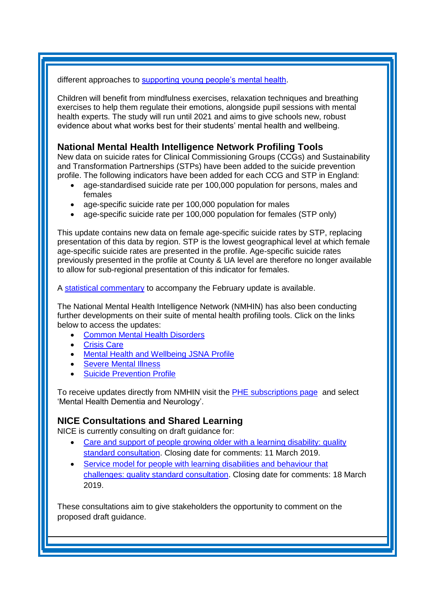#### different approaches to [supporting young people's mental health.](https://www.gov.uk/government/news/one-of-the-largest-mental-health-trials-launches-in-schools)

Children will benefit from mindfulness exercises, relaxation techniques and breathing exercises to help them regulate their emotions, alongside pupil sessions with mental health experts. The study will run until 2021 and aims to give schools new, robust evidence about what works best for their students' mental health and wellbeing.

# **National Mental Health Intelligence Network Profiling Tools**

New data on suicide rates for Clinical Commissioning Groups (CCGs) and Sustainability and Transformation Partnerships (STPs) have been added to the suicide prevention profile. The following indicators have been added for each CCG and STP in England:

- age-standardised suicide rate per 100,000 population for persons, males and females
- age-specific suicide rate per 100,000 population for males
- age-specific suicide rate per 100,000 population for females (STP only)

This update contains new data on female age-specific suicide rates by STP, replacing presentation of this data by region. STP is the lowest geographical level at which female age-specific suicide rates are presented in the profile. Age-specific suicide rates previously presented in the profile at County & UA level are therefore no longer available to allow for sub-regional presentation of this indicator for females.

A [statistical commentary](http://links.govdelivery.com/track?type=click&enid=ZWFzPTEmbXNpZD0mYXVpZD0mbWFpbGluZ2lkPTIwMTkwMjA1LjExMTQ5OTEmbWVzc2FnZWlkPU1EQi1QUkQtQlVMLTIwMTkwMjA1LjExMTQ5OTEmZGF0YWJhc2VpZD0xMDAxJnNlcmlhbD0xNzA4MjkyOSZlbWFpbGlkPXNhcmFoLmJvdWxAbmhzLm5ldCZ1c2VyaWQ9c2FyYWguYm91bEBuaHMubmV0JnRhcmdldGlkPSZmbD0mZXh0cmE9TXVsdGl2YXJpYXRlSWQ9JiYm&&&101&&&https://www.gov.uk/government/publications/suicide-prevention-profile-february-2019-update/suicide-prevention-profile-statistical-commentary-february-2019-update) to accompany the February update is available.

The National Mental Health Intelligence Network (NMHIN) has also been conducting further developments on their suite of mental health profiling tools. Click on the links below to access the updates:

- [Common Mental Health Disorders](http://links.govdelivery.com/track?type=click&enid=ZWFzPTEmbXNpZD0mYXVpZD0mbWFpbGluZ2lkPTIwMTcxMjA1LjgxOTE2MDgxJm1lc3NhZ2VpZD1NREItUFJELUJVTC0yMDE3MTIwNS44MTkxNjA4MSZkYXRhYmFzZWlkPTEwMDEmc2VyaWFsPTE2OTcwMTE4JmVtYWlsaWQ9c2FyYWguYm91bEBuaHMubmV0JnVzZXJpZD1zYXJhaC5ib3VsQG5ocy5uZXQmdGFyZ2V0aWQ9JmZsPSZleHRyYT1NdWx0aXZhcmlhdGVJZD0mJiY=&&&104&&&https://fingertips.phe.org.uk/profile-group/mental-health/profile/common-mental-disorders)
- [Crisis Care](http://links.govdelivery.com/track?type=click&enid=ZWFzPTEmbXNpZD0mYXVpZD0mbWFpbGluZ2lkPTIwMTcxMjA1LjgxOTE2MDgxJm1lc3NhZ2VpZD1NREItUFJELUJVTC0yMDE3MTIwNS44MTkxNjA4MSZkYXRhYmFzZWlkPTEwMDEmc2VyaWFsPTE2OTcwMTE4JmVtYWlsaWQ9c2FyYWguYm91bEBuaHMubmV0JnVzZXJpZD1zYXJhaC5ib3VsQG5ocy5uZXQmdGFyZ2V0aWQ9JmZsPSZleHRyYT1NdWx0aXZhcmlhdGVJZD0mJiY=&&&105&&&https://fingertips.phe.org.uk/profile-group/mental-health/profile/crisis-care)
- [Mental Health and Wellbeing JSNA Profile](http://links.govdelivery.com/track?type=click&enid=ZWFzPTEmbXNpZD0mYXVpZD0mbWFpbGluZ2lkPTIwMTcxMjA1LjgxOTE2MDgxJm1lc3NhZ2VpZD1NREItUFJELUJVTC0yMDE3MTIwNS44MTkxNjA4MSZkYXRhYmFzZWlkPTEwMDEmc2VyaWFsPTE2OTcwMTE4JmVtYWlsaWQ9c2FyYWguYm91bEBuaHMubmV0JnVzZXJpZD1zYXJhaC5ib3VsQG5ocy5uZXQmdGFyZ2V0aWQ9JmZsPSZleHRyYT1NdWx0aXZhcmlhdGVJZD0mJiY=&&&106&&&https://fingertips.phe.org.uk/profile-group/mental-health/profile/mh-jsna)
- **[Severe Mental Illness](http://links.govdelivery.com/track?type=click&enid=ZWFzPTEmbXNpZD0mYXVpZD0mbWFpbGluZ2lkPTIwMTcxMjA1LjgxOTE2MDgxJm1lc3NhZ2VpZD1NREItUFJELUJVTC0yMDE3MTIwNS44MTkxNjA4MSZkYXRhYmFzZWlkPTEwMDEmc2VyaWFsPTE2OTcwMTE4JmVtYWlsaWQ9c2FyYWguYm91bEBuaHMubmV0JnVzZXJpZD1zYXJhaC5ib3VsQG5ocy5uZXQmdGFyZ2V0aWQ9JmZsPSZleHRyYT1NdWx0aXZhcmlhdGVJZD0mJiY=&&&108&&&https://fingertips.phe.org.uk/profile-group/mental-health/profile/severe-mental-illness)**
- **[Suicide Prevention Profile](http://links.govdelivery.com/track?type=click&enid=ZWFzPTEmbXNpZD0mYXVpZD0mbWFpbGluZ2lkPTIwMTgwNjA1LjkwNzEwNzExJm1lc3NhZ2VpZD1NREItUFJELUJVTC0yMDE4MDYwNS45MDcxMDcxMSZkYXRhYmFzZWlkPTEwMDEmc2VyaWFsPTE3MDEzODU4JmVtYWlsaWQ9c2FyYWguYm91bEBuaHMubmV0JnVzZXJpZD1zYXJhaC5ib3VsQG5ocy5uZXQmdGFyZ2V0aWQ9JmZsPSZleHRyYT1NdWx0aXZhcmlhdGVJZD0mJiY=&&&104&&&https://fingertips.phe.org.uk/profile-group/mental-health/profile/suicide)**

To receive updates directly from NMHIN visit the [PHE subscriptions page](http://links.govdelivery.com/track?type=click&enid=ZWFzPTEmbXNpZD0mYXVpZD0mbWFpbGluZ2lkPTIwMTgwMjA3Ljg0OTY1MzgxJm1lc3NhZ2VpZD1NREItUFJELUJVTC0yMDE4MDIwNy44NDk2NTM4MSZkYXRhYmFzZWlkPTEwMDEmc2VyaWFsPTE2OTgzNDk5JmVtYWlsaWQ9c2FyYWguYm91bEBuaHMubmV0JnVzZXJpZD1zYXJhaC5ib3VsQG5ocy5uZXQmdGFyZ2V0aWQ9JmZsPSZleHRyYT1NdWx0aXZhcmlhdGVJZD0mJiY=&&&107&&&https://public.govdelivery.com/accounts/UKHPA/subscribers/new?preferences=true) and select 'Mental Health Dementia and Neurology'.

# <span id="page-2-0"></span>**NICE Consultations and Shared Learning**

NICE is currently consulting on draft guidance for:

- [Care and support of people growing older with a learning disability: quality](https://www.nice.org.uk/guidance/indevelopment/gid-qs10075/consultation/html-content-2)  [standard consultation.](https://www.nice.org.uk/guidance/indevelopment/gid-qs10075/consultation/html-content-2) Closing date for comments: 11 March 2019.
- [Service model for people with learning disabilities and behaviour that](https://www.nice.org.uk/guidance/indevelopment/gid-qs10072/consultation/html-content)  [challenges: quality standard consultation.](https://www.nice.org.uk/guidance/indevelopment/gid-qs10072/consultation/html-content) Closing date for comments: 18 March 2019.

These consultations aim to give stakeholders the opportunity to comment on the proposed draft guidance.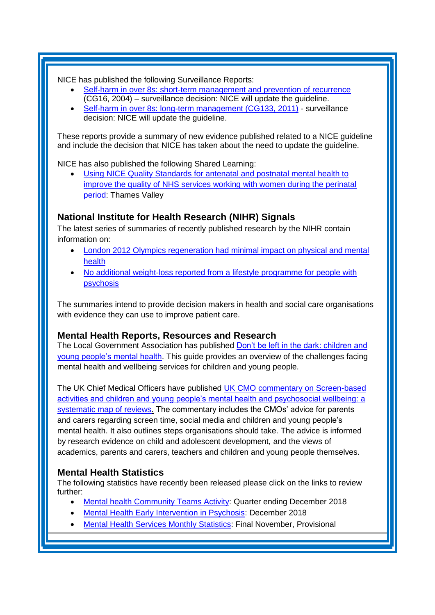NICE has published the following Surveillance Reports:

- [Self-harm in over 8s: short-term management and prevention of recurrence](https://www.nice.org.uk/guidance/cg16/resources/2019-exceptional-surveillance-of-selfharm-in-over-8s-nice-guidelines-cg16-and-cg133-6653100205/chapter/Surveillance-decision?tab=evidence&utm_source=Surveillance+report+alerts&utm_campaign=f9a5dbb682-EMAIL_CAMPAIGN_2019_01_31_11_55&utm_medium=email&utm_term=0_e232b91fb2-f9a5dbb682-169540553) (CG16, 2004) – surveillance decision: NICE will update the guideline.
- [Self-harm in over 8s: long-term management \(CG133, 2011\)](https://www.nice.org.uk/guidance/cg133/resources/2019-exceptional-surveillance-of-selfharm-in-over-8s-nice-guidelines-cg16-and-cg133-6653100205/chapter/Surveillance-decision?tab=evidence&utm_source=Surveillance+report+alerts&utm_campaign=f9a5dbb682-EMAIL_CAMPAIGN_2019_01_31_11_55&utm_medium=email&utm_term=0_e232b91fb2-f9a5dbb682-169540553) surveillance decision: NICE will update the guideline.

These reports provide a summary of new evidence published related to a NICE guideline and include the decision that NICE has taken about the need to update the guideline.

NICE has also published the following Shared Learning:

 [Using NICE Quality Standards for antenatal and postnatal mental health to](https://www.nice.org.uk/sharedlearning/using-nice-quality-standards-for-antenatal-and-postnatal-mental-health-to-improve-the-quality-of-nhs-services-working-with-women-during-the-perinatal-period)  [improve the quality of NHS services working with women during the perinatal](https://www.nice.org.uk/sharedlearning/using-nice-quality-standards-for-antenatal-and-postnatal-mental-health-to-improve-the-quality-of-nhs-services-working-with-women-during-the-perinatal-period)  [period:](https://www.nice.org.uk/sharedlearning/using-nice-quality-standards-for-antenatal-and-postnatal-mental-health-to-improve-the-quality-of-nhs-services-working-with-women-during-the-perinatal-period) Thames Valley

# <span id="page-3-0"></span>**National Institute for Health Research (NIHR) Signals**

The latest series of summaries of recently published research by the NIHR contain information on:

- London 2012 Olympics regeneration had minimal impact on physical and mental [health](https://discover.dc.nihr.ac.uk/content/signal-000718/london-2012-olympics-regeneration-had-minimal-impact-on-physical-and-mental-health)
- [No additional weight-loss reported from a lifestyle programme for people with](https://discover.dc.nihr.ac.uk/content/signal-000728/no-additional-weight-loss-reported-from-a-lifestyle-programme-for-people-with-psychosis)  [psychosis](https://discover.dc.nihr.ac.uk/content/signal-000728/no-additional-weight-loss-reported-from-a-lifestyle-programme-for-people-with-psychosis)

The summaries intend to provide decision makers in health and social care organisations with evidence they can use to improve patient care.

### **Mental Health Reports, Resources and Research**

The Local Government Association has published [Don't be left in the dark: children and](https://www.local.gov.uk/dont-be-left-dark-children-and-young-peoples-mental-health)  [young people's mental health.](https://www.local.gov.uk/dont-be-left-dark-children-and-young-peoples-mental-health) This guide provides an overview of the challenges facing mental health and wellbeing services for children and young people.

The UK Chief Medical Officers have published [UK CMO commentary on Screen-based](https://www.gov.uk/government/publications/uk-cmo-commentary-on-screen-time-and-social-media-map-of-reviews)  [activities and children and young people's mental health and psychosocial wellbeing: a](https://www.gov.uk/government/publications/uk-cmo-commentary-on-screen-time-and-social-media-map-of-reviews)  [systematic map of reviews.](https://www.gov.uk/government/publications/uk-cmo-commentary-on-screen-time-and-social-media-map-of-reviews) The commentary includes the CMOs' advice for parents and carers regarding screen time, social media and children and young people's mental health. It also outlines steps organisations should take. The advice is informed by research evidence on child and adolescent development, and the views of academics, parents and carers, teachers and children and young people themselves.

# <span id="page-3-1"></span>**Mental Health Statistics**

The following statistics have recently been released please click on the links to review further:

- <span id="page-3-2"></span>• [Mental health Community Teams Activity:](https://www.gov.uk/government/statistics/mental-health-community-teams-activity-for-quarter-ending-december-2018) Quarter ending December 2018
- [Mental Health Early Intervention in Psychosis:](https://www.gov.uk/government/statistics/mental-health-early-intervention-in-psychosis-for-december-2018) December 2018
- [Mental Health Services Monthly Statistics:](https://digital.nhs.uk/data-and-information/publications/statistical/mental-health-services-monthly-statistics/final-november-provisional-december-2018) Final November, Provisional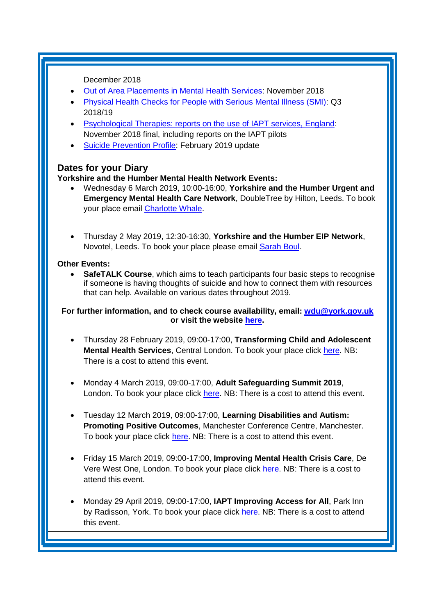December 2018

- [Out of Area Placements in Mental Health Services:](https://digital.nhs.uk/data-and-information/publications/statistical/out-of-area-placements-in-mental-health-services/november-2018) November 2018
- [Physical Health Checks for People with Serious Mental Illness \(SMI\):](https://www.gov.uk/government/statistics/physical-health-checks-for-people-with-serious-mental-illness-smi-q3-201819) Q3 2018/19
- [Psychological Therapies: reports on the use of IAPT services, England:](https://digital.nhs.uk/data-and-information/publications/statistical/psychological-therapies-report-on-the-use-of-iapt-services/november-2018-final-including-reports-on-the-iapt-pilots) November 2018 final, including reports on the IAPT pilots
- [Suicide Prevention Profile:](https://www.gov.uk/government/statistics/suicide-prevention-profile-february-2019-update) February 2019 update

# **Dates for your Diary**

#### **Yorkshire and the Humber Mental Health Network Events:**

- Wednesday 6 March 2019, 10:00-16:00, **Yorkshire and the Humber Urgent and Emergency Mental Health Care Network**, DoubleTree by Hilton, Leeds. To book your place email [Charlotte Whale.](mailto:charlotte.whale@nhs.net)
- Thursday 2 May 2019, 12:30-16:30, **Yorkshire and the Humber EIP Network**, Novotel, Leeds. To book your place please email [Sarah Boul.](mailto:sarah.boul@nhs.net)

#### **Other Events:**

 **SafeTALK Course**, which aims to teach participants four basic steps to recognise if someone is having thoughts of suicide and how to connect them with resources that can help. Available on various dates throughout 2019.

#### **For further information, and to check course availability, email: [wdu@york.gov.uk](mailto:wdu@york.gov.uk) or visit the website [here.](http://www.yorkworkforcedevelopment.org.uk/)**

- Thursday 28 February 2019, 09:00-17:00, **Transforming Child and Adolescent Mental Health Services**, Central London. To book your place click [here.](https://www.publicpolicyexchange.co.uk/book.php?event=JB28-PPE&ss=em&tg=1c) NB: There is a cost to attend this event.
- Monday 4 March 2019, 09:00-17:00, **Adult Safeguarding Summit 2019**, London. To book your place click [here.](https://www.healthcareconferencesuk.co.uk/event/1304/book) NB: There is a cost to attend this event.
- Tuesday 12 March 2019, 09:00-17:00, **Learning Disabilities and Autism: Promoting Positive Outcomes**, Manchester Conference Centre, Manchester. To book your place click [here.](https://openforumevents.co.uk/events/2019/learning-disabilities-and-autism-promoting-positive-outcomes/#book?utm_source=OFE+S3.1+LD19+WC+26.11.2018+NHS+4&utm_medium=email&utm_campaign=OFE+S3.1+LD19+WC+26.11.2018) NB: There is a cost to attend this event.
- Friday 15 March 2019, 09:00-17:00, **Improving Mental Health Crisis Care**, De Vere West One, London. To book your place click [here.](https://www.healthcareconferencesuk.co.uk/event/1171) NB: There is a cost to attend this event.
- Monday 29 April 2019, 09:00-17:00, **IAPT Improving Access for All**, Park Inn by Radisson, York. To book your place click [here.](http://www.iapt-nnf.co.uk/booking/index/105/?utm_source=SBK%20Healthcare&utm_medium=email&utm_campaign=10129413_1932PT%201st%20email&dm_i=1SB0,613WL,MCTTTA,NNC6M,1) NB: There is a cost to attend this event.